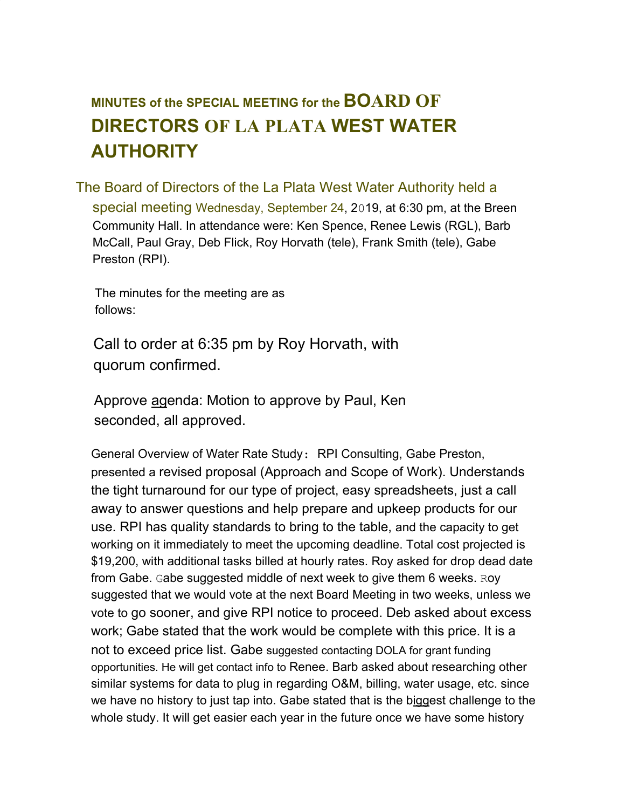## **MINUTES of the SPECIAL MEETING for the BOARD OF DIRECTORS OF LA PLATA WEST WATER AUTHORITY**

The Board of Directors of the La Plata West Water Authority held a special meeting Wednesday, September 24, 2019, at 6:30 pm, at the Breen Community Hall. In attendance were: Ken Spence, Renee Lewis (RGL), Barb McCall, Paul Gray, Deb Flick, Roy Horvath (tele), Frank Smith (tele), Gabe Preston (RPI).

The minutes for the meeting are as follows:

Call to order at 6:35 pm by Roy Horvath, with quorum confirmed.

Approve agenda: Motion to approve by Paul, Ken seconded, all approved.

General Overview of Water Rate Study: RPI Consulting, Gabe Preston, presented a revised proposal (Approach and Scope of Work). Understands the tight turnaround for our type of project, easy spreadsheets, just a call away to answer questions and help prepare and upkeep products for our use. RPI has quality standards to bring to the table, and the capacity to get working on it immediately to meet the upcoming deadline. Total cost projected is \$19,200, with additional tasks billed at hourly rates. Roy asked for drop dead date from Gabe. Gabe suggested middle of next week to give them 6 weeks. Roy suggested that we would vote at the next Board Meeting in two weeks, unless we vote to go sooner, and give RPI notice to proceed. Deb asked about excess work; Gabe stated that the work would be complete with this price. It is a not to exceed price list. Gabe suggested contacting DOLA for grant funding opportunities. He will get contact info to Renee. Barb asked about researching other similar systems for data to plug in regarding O&M, billing, water usage, etc. since we have no history to just tap into. Gabe stated that is the biggest challenge to the whole study. It will get easier each year in the future once we have some history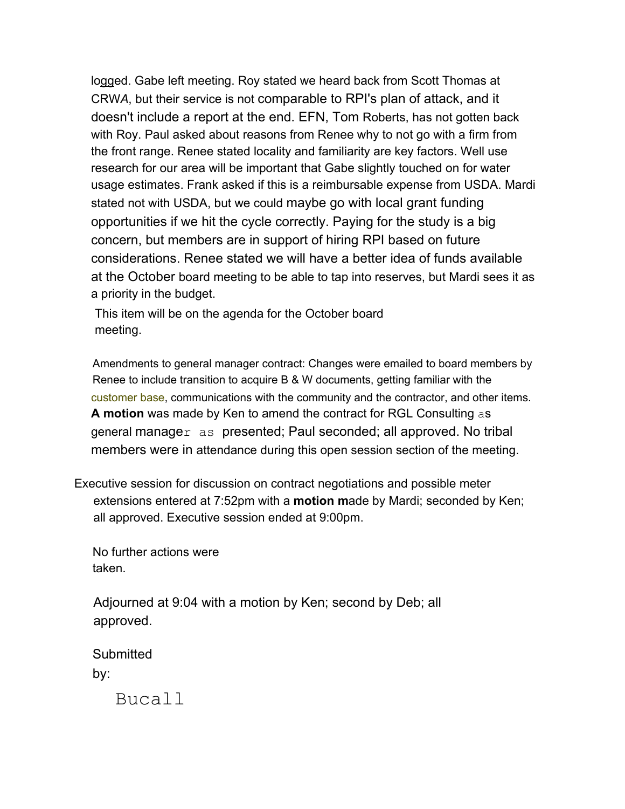logged. Gabe left meeting. Roy stated we heard back from Scott Thomas at CRW*A*, but their service is not comparable to RPI's plan of attack, and it doesn't include a report at the end. EFN, Tom Roberts, has not gotten back with Roy. Paul asked about reasons from Renee why to not go with a firm from the front range. Renee stated locality and familiarity are key factors. Well use research for our area will be important that Gabe slightly touched on for water usage estimates. Frank asked if this is a reimbursable expense from USDA. Mardi stated not with USDA, but we could maybe go with local grant funding opportunities if we hit the cycle correctly. Paying for the study is a big concern, but members are in support of hiring RPI based on future considerations. Renee stated we will have a better idea of funds available at the October board meeting to be able to tap into reserves, but Mardi sees it as a priority in the budget.

This item will be on the agenda for the October board meeting.

Amendments to general manager contract: Changes were emailed to board members by Renee to include transition to acquire B & W documents, getting familiar with the customer base, communications with the community and the contractor, and other items. **A motion** was made by Ken to amend the contract for RGL Consulting as general manager as presented; Paul seconded; all approved. No tribal members were in attendance during this open session section of the meeting.

Executive session for discussion on contract negotiations and possible meter extensions entered at 7:52pm with a **motion m**ade by Mardi; seconded by Ken; all approved. Executive session ended at 9:00pm.

No further actions were taken.

Adjourned at 9:04 with a motion by Ken; second by Deb; all approved.

**Submitted** by:

Bucall